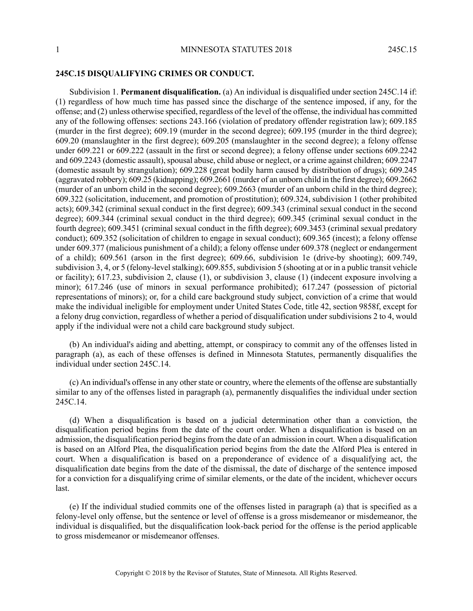## **245C.15 DISQUALIFYING CRIMES OR CONDUCT.**

Subdivision 1. **Permanent disqualification.** (a) An individual is disqualified under section 245C.14 if: (1) regardless of how much time has passed since the discharge of the sentence imposed, if any, for the offense; and (2) unless otherwise specified, regardless of the level of the offense, the individual has committed any of the following offenses: sections 243.166 (violation of predatory offender registration law); 609.185 (murder in the first degree); 609.19 (murder in the second degree); 609.195 (murder in the third degree); 609.20 (manslaughter in the first degree); 609.205 (manslaughter in the second degree); a felony offense under 609.221 or 609.222 (assault in the first or second degree); a felony offense under sections 609.2242 and 609.2243 (domestic assault), spousal abuse, child abuse or neglect, or a crime against children; 609.2247 (domestic assault by strangulation); 609.228 (great bodily harm caused by distribution of drugs); 609.245 (aggravated robbery); 609.25 (kidnapping); 609.2661 (murder of an unborn child in the first degree); 609.2662 (murder of an unborn child in the second degree); 609.2663 (murder of an unborn child in the third degree); 609.322 (solicitation, inducement, and promotion of prostitution); 609.324, subdivision 1 (other prohibited acts); 609.342 (criminal sexual conduct in the first degree); 609.343 (criminal sexual conduct in the second degree); 609.344 (criminal sexual conduct in the third degree); 609.345 (criminal sexual conduct in the fourth degree); 609.3451 (criminal sexual conduct in the fifth degree); 609.3453 (criminal sexual predatory conduct); 609.352 (solicitation of children to engage in sexual conduct); 609.365 (incest); a felony offense under 609.377 (malicious punishment of a child); a felony offense under 609.378 (neglect or endangerment of a child); 609.561 (arson in the first degree); 609.66, subdivision 1e (drive-by shooting); 609.749, subdivision 3, 4, or 5 (felony-level stalking); 609.855, subdivision 5 (shooting at or in a public transit vehicle or facility); 617.23, subdivision 2, clause (1), or subdivision 3, clause (1) (indecent exposure involving a minor); 617.246 (use of minors in sexual performance prohibited); 617.247 (possession of pictorial representations of minors); or, for a child care background study subject, conviction of a crime that would make the individual ineligible for employment under United States Code, title 42, section 9858f, except for a felony drug conviction, regardless of whether a period of disqualification under subdivisions 2 to 4, would apply if the individual were not a child care background study subject.

(b) An individual's aiding and abetting, attempt, or conspiracy to commit any of the offenses listed in paragraph (a), as each of these offenses is defined in Minnesota Statutes, permanently disqualifies the individual under section 245C.14.

(c) An individual's offense in any other state or country, where the elements of the offense are substantially similar to any of the offenses listed in paragraph (a), permanently disqualifies the individual under section 245C.14.

(d) When a disqualification is based on a judicial determination other than a conviction, the disqualification period begins from the date of the court order. When a disqualification is based on an admission, the disqualification period begins from the date of an admission in court. When a disqualification is based on an Alford Plea, the disqualification period begins from the date the Alford Plea is entered in court. When a disqualification is based on a preponderance of evidence of a disqualifying act, the disqualification date begins from the date of the dismissal, the date of discharge of the sentence imposed for a conviction for a disqualifying crime of similar elements, or the date of the incident, whichever occurs last.

(e) If the individual studied commits one of the offenses listed in paragraph (a) that is specified as a felony-level only offense, but the sentence or level of offense is a gross misdemeanor or misdemeanor, the individual is disqualified, but the disqualification look-back period for the offense is the period applicable to gross misdemeanor or misdemeanor offenses.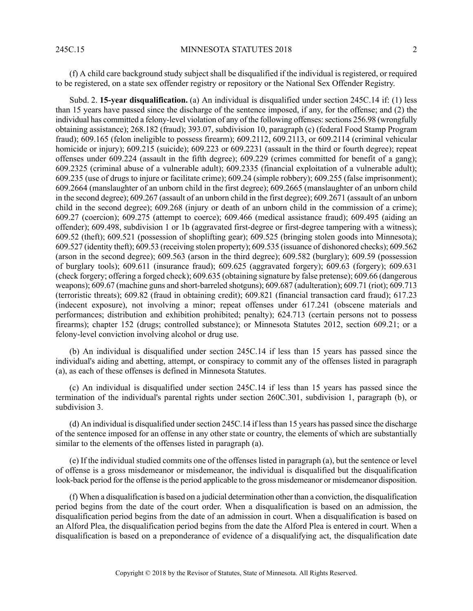(f) A child care background study subject shall be disqualified if the individual is registered, or required to be registered, on a state sex offender registry or repository or the National Sex Offender Registry.

Subd. 2. **15-year disqualification.** (a) An individual is disqualified under section 245C.14 if: (1) less than 15 years have passed since the discharge of the sentence imposed, if any, for the offense; and (2) the individual has committed a felony-level violation of any of the following offenses: sections 256.98 (wrongfully obtaining assistance); 268.182 (fraud); 393.07, subdivision 10, paragraph (c) (federal Food Stamp Program fraud); 609.165 (felon ineligible to possess firearm); 609.2112, 609.2113, or 609.2114 (criminal vehicular homicide or injury); 609.215 (suicide); 609.223 or 609.2231 (assault in the third or fourth degree); repeat offenses under 609.224 (assault in the fifth degree); 609.229 (crimes committed for benefit of a gang); 609.2325 (criminal abuse of a vulnerable adult); 609.2335 (financial exploitation of a vulnerable adult); 609.235 (use of drugs to injure or facilitate crime); 609.24 (simple robbery); 609.255 (false imprisonment); 609.2664 (manslaughter of an unborn child in the first degree); 609.2665 (manslaughter of an unborn child in the second degree); 609.267 (assault of an unborn child in the first degree); 609.2671 (assault of an unborn child in the second degree); 609.268 (injury or death of an unborn child in the commission of a crime); 609.27 (coercion); 609.275 (attempt to coerce); 609.466 (medical assistance fraud); 609.495 (aiding an offender); 609.498, subdivision 1 or 1b (aggravated first-degree or first-degree tampering with a witness); 609.52 (theft); 609.521 (possession of shoplifting gear); 609.525 (bringing stolen goods into Minnesota); 609.527 (identity theft); 609.53 (receiving stolen property); 609.535 (issuance of dishonored checks); 609.562 (arson in the second degree); 609.563 (arson in the third degree); 609.582 (burglary); 609.59 (possession of burglary tools); 609.611 (insurance fraud); 609.625 (aggravated forgery); 609.63 (forgery); 609.631 (check forgery; offering a forged check); 609.635 (obtaining signature by false pretense); 609.66 (dangerous weapons); 609.67 (machine guns and short-barreled shotguns); 609.687 (adulteration); 609.71 (riot); 609.713 (terroristic threats); 609.82 (fraud in obtaining credit); 609.821 (financial transaction card fraud); 617.23 (indecent exposure), not involving a minor; repeat offenses under 617.241 (obscene materials and performances; distribution and exhibition prohibited; penalty); 624.713 (certain persons not to possess firearms); chapter 152 (drugs; controlled substance); or Minnesota Statutes 2012, section 609.21; or a felony-level conviction involving alcohol or drug use.

(b) An individual is disqualified under section 245C.14 if less than 15 years has passed since the individual's aiding and abetting, attempt, or conspiracy to commit any of the offenses listed in paragraph (a), as each of these offenses is defined in Minnesota Statutes.

(c) An individual is disqualified under section 245C.14 if less than 15 years has passed since the termination of the individual's parental rights under section 260C.301, subdivision 1, paragraph (b), or subdivision 3.

(d) An individual is disqualified under section 245C.14 if less than 15 years has passed since the discharge of the sentence imposed for an offense in any other state or country, the elements of which are substantially similar to the elements of the offenses listed in paragraph (a).

(e) If the individual studied commits one of the offenses listed in paragraph (a), but the sentence or level of offense is a gross misdemeanor or misdemeanor, the individual is disqualified but the disqualification look-back period for the offense is the period applicable to the gross misdemeanor or misdemeanor disposition.

(f) When a disqualification is based on a judicial determination other than a conviction, the disqualification period begins from the date of the court order. When a disqualification is based on an admission, the disqualification period begins from the date of an admission in court. When a disqualification is based on an Alford Plea, the disqualification period begins from the date the Alford Plea is entered in court. When a disqualification is based on a preponderance of evidence of a disqualifying act, the disqualification date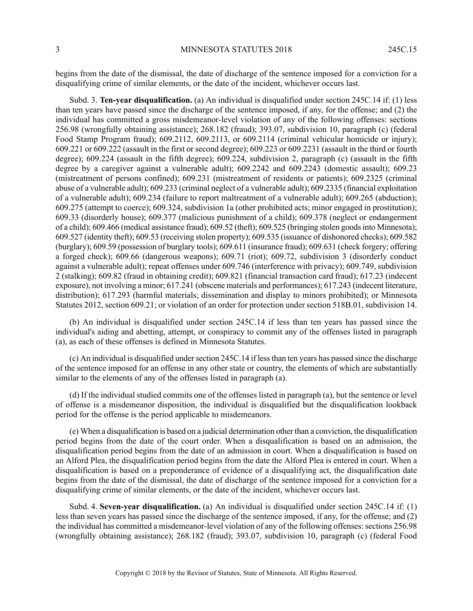begins from the date of the dismissal, the date of discharge of the sentence imposed for a conviction for a disqualifying crime of similar elements, or the date of the incident, whichever occurs last.

Subd. 3. **Ten-year disqualification.** (a) An individual is disqualified under section 245C.14 if: (1) less than ten years have passed since the discharge of the sentence imposed, if any, for the offense; and (2) the individual has committed a gross misdemeanor-level violation of any of the following offenses: sections 256.98 (wrongfully obtaining assistance); 268.182 (fraud); 393.07, subdivision 10, paragraph (c) (federal Food Stamp Program fraud); 609.2112, 609.2113, or 609.2114 (criminal vehicular homicide or injury); 609.221 or 609.222 (assault in the first or second degree); 609.223 or 609.2231 (assault in the third or fourth degree); 609.224 (assault in the fifth degree); 609.224, subdivision 2, paragraph (c) (assault in the fifth degree by a caregiver against a vulnerable adult); 609.2242 and 609.2243 (domestic assault); 609.23 (mistreatment of persons confined); 609.231 (mistreatment of residents or patients); 609.2325 (criminal abuse of a vulnerable adult); 609.233 (criminal neglect of a vulnerable adult); 609.2335 (financial exploitation of a vulnerable adult); 609.234 (failure to report maltreatment of a vulnerable adult); 609.265 (abduction); 609.275 (attempt to coerce); 609.324, subdivision 1a (other prohibited acts; minor engaged in prostitution); 609.33 (disorderly house); 609.377 (malicious punishment of a child); 609.378 (neglect or endangerment of a child); 609.466 (medical assistance fraud); 609.52 (theft); 609.525 (bringing stolen goodsinto Minnesota); 609.527 (identity theft); 609.53 (receiving stolen property); 609.535 (issuance of dishonored checks); 609.582 (burglary); 609.59 (possession of burglary tools); 609.611 (insurance fraud); 609.631 (check forgery; offering a forged check); 609.66 (dangerous weapons); 609.71 (riot); 609.72, subdivision 3 (disorderly conduct against a vulnerable adult); repeat offenses under 609.746 (interference with privacy); 609.749, subdivision 2 (stalking); 609.82 (fraud in obtaining credit); 609.821 (financial transaction card fraud); 617.23 (indecent exposure), not involving a minor; 617.241 (obscene materials and performances); 617.243 (indecent literature, distribution); 617.293 (harmful materials; dissemination and display to minors prohibited); or Minnesota Statutes 2012, section 609.21; or violation of an order for protection under section 518B.01, subdivision 14.

(b) An individual is disqualified under section 245C.14 if less than ten years has passed since the individual's aiding and abetting, attempt, or conspiracy to commit any of the offenses listed in paragraph (a), as each of these offenses is defined in Minnesota Statutes.

 $(c)$  An individual is disqualified under section 245C.14 if less than ten years has passed since the discharge of the sentence imposed for an offense in any other state or country, the elements of which are substantially similar to the elements of any of the offenses listed in paragraph (a).

(d) If the individual studied commits one of the offenses listed in paragraph (a), but the sentence or level of offense is a misdemeanor disposition, the individual is disqualified but the disqualification lookback period for the offense is the period applicable to misdemeanors.

(e) When a disqualification is based on a judicial determination other than a conviction, the disqualification period begins from the date of the court order. When a disqualification is based on an admission, the disqualification period begins from the date of an admission in court. When a disqualification is based on an Alford Plea, the disqualification period begins from the date the Alford Plea is entered in court. When a disqualification is based on a preponderance of evidence of a disqualifying act, the disqualification date begins from the date of the dismissal, the date of discharge of the sentence imposed for a conviction for a disqualifying crime of similar elements, or the date of the incident, whichever occurs last.

Subd. 4. **Seven-year disqualification.** (a) An individual is disqualified under section 245C.14 if: (1) less than seven years has passed since the discharge of the sentence imposed, if any, for the offense; and (2) the individual has committed a misdemeanor-level violation of any of the following offenses: sections 256.98 (wrongfully obtaining assistance); 268.182 (fraud); 393.07, subdivision 10, paragraph (c) (federal Food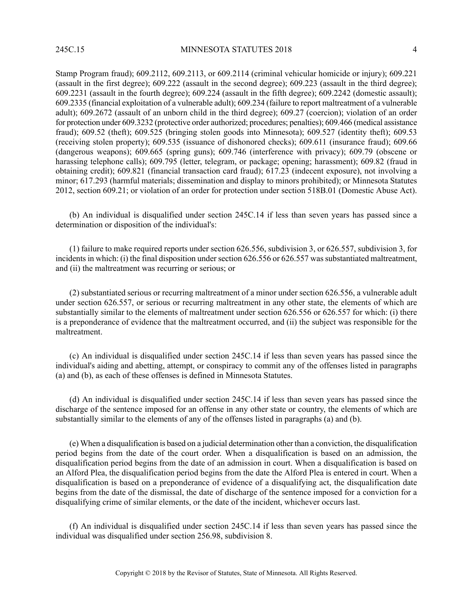Stamp Program fraud); 609.2112, 609.2113, or 609.2114 (criminal vehicular homicide or injury); 609.221 (assault in the first degree); 609.222 (assault in the second degree); 609.223 (assault in the third degree); 609.2231 (assault in the fourth degree); 609.224 (assault in the fifth degree); 609.2242 (domestic assault); 609.2335 (financial exploitation of a vulnerable adult); 609.234 (failure to report maltreatment of a vulnerable adult); 609.2672 (assault of an unborn child in the third degree); 609.27 (coercion); violation of an order for protection under 609.3232 (protective order authorized; procedures; penalties); 609.466 (medical assistance fraud); 609.52 (theft); 609.525 (bringing stolen goods into Minnesota); 609.527 (identity theft); 609.53 (receiving stolen property); 609.535 (issuance of dishonored checks); 609.611 (insurance fraud); 609.66 (dangerous weapons); 609.665 (spring guns); 609.746 (interference with privacy); 609.79 (obscene or harassing telephone calls); 609.795 (letter, telegram, or package; opening; harassment); 609.82 (fraud in obtaining credit); 609.821 (financial transaction card fraud); 617.23 (indecent exposure), not involving a minor; 617.293 (harmful materials; dissemination and display to minors prohibited); or Minnesota Statutes 2012, section 609.21; or violation of an order for protection under section 518B.01 (Domestic Abuse Act).

(b) An individual is disqualified under section 245C.14 if less than seven years has passed since a determination or disposition of the individual's:

(1) failure to make required reports under section 626.556, subdivision 3, or 626.557, subdivision 3, for incidents in which: (i) the final disposition under section 626.556 or 626.557 was substantiated maltreatment, and (ii) the maltreatment was recurring or serious; or

(2) substantiated serious or recurring maltreatment of a minor under section 626.556, a vulnerable adult under section 626.557, or serious or recurring maltreatment in any other state, the elements of which are substantially similar to the elements of maltreatment under section 626.556 or 626.557 for which: (i) there is a preponderance of evidence that the maltreatment occurred, and (ii) the subject was responsible for the maltreatment.

(c) An individual is disqualified under section 245C.14 if less than seven years has passed since the individual's aiding and abetting, attempt, or conspiracy to commit any of the offenses listed in paragraphs (a) and (b), as each of these offenses is defined in Minnesota Statutes.

(d) An individual is disqualified under section 245C.14 if less than seven years has passed since the discharge of the sentence imposed for an offense in any other state or country, the elements of which are substantially similar to the elements of any of the offenses listed in paragraphs (a) and (b).

(e) When a disqualification is based on a judicial determination other than a conviction, the disqualification period begins from the date of the court order. When a disqualification is based on an admission, the disqualification period begins from the date of an admission in court. When a disqualification is based on an Alford Plea, the disqualification period begins from the date the Alford Plea is entered in court. When a disqualification is based on a preponderance of evidence of a disqualifying act, the disqualification date begins from the date of the dismissal, the date of discharge of the sentence imposed for a conviction for a disqualifying crime of similar elements, or the date of the incident, whichever occurs last.

(f) An individual is disqualified under section 245C.14 if less than seven years has passed since the individual was disqualified under section 256.98, subdivision 8.